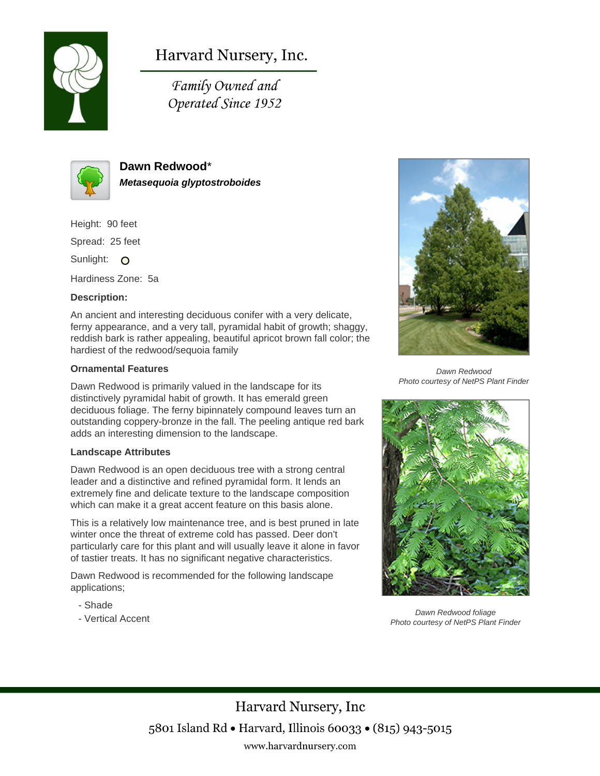

# Harvard Nursery, Inc.

Family Owned and Operated Since 1952



**Dawn Redwood**\* **Metasequoia glyptostroboides**

Height: 90 feet

Spread: 25 feet

Sunlight: O

Hardiness Zone: 5a

## **Description:**

An ancient and interesting deciduous conifer with a very delicate, ferny appearance, and a very tall, pyramidal habit of growth; shaggy, reddish bark is rather appealing, beautiful apricot brown fall color; the hardiest of the redwood/sequoia family

#### **Ornamental Features**

Dawn Redwood is primarily valued in the landscape for its distinctively pyramidal habit of growth. It has emerald green deciduous foliage. The ferny bipinnately compound leaves turn an outstanding coppery-bronze in the fall. The peeling antique red bark adds an interesting dimension to the landscape.

#### **Landscape Attributes**

Dawn Redwood is an open deciduous tree with a strong central leader and a distinctive and refined pyramidal form. It lends an extremely fine and delicate texture to the landscape composition which can make it a great accent feature on this basis alone.

This is a relatively low maintenance tree, and is best pruned in late winter once the threat of extreme cold has passed. Deer don't particularly care for this plant and will usually leave it alone in favor of tastier treats. It has no significant negative characteristics.

Dawn Redwood is recommended for the following landscape applications;

- Shade
- Vertical Accent



Dawn Redwood Photo courtesy of NetPS Plant Finder



Dawn Redwood foliage Photo courtesy of NetPS Plant Finder

Harvard Nursery, Inc 5801 Island Rd • Harvard, Illinois 60033 • (815) 943-5015 www.harvardnursery.com